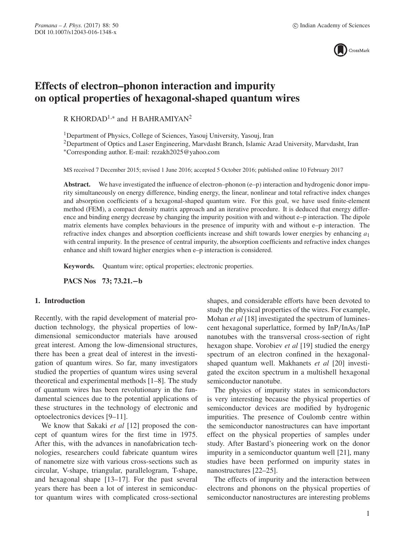

# **Effects of electron–phonon interaction and impurity on optical properties of hexagonal-shaped quantum wires**

R KHORDAD<sup>1,\*</sup> and H BAHRAMIYAN<sup>2</sup>

<sup>1</sup>Department of Physics, College of Sciences, Yasouj University, Yasouj, Iran

2Department of Optics and Laser Engineering, Marvdasht Branch, Islamic Azad University, Marvdasht, Iran ∗Corresponding author. E-mail: rezakh2025@yahoo.com

MS received 7 December 2015; revised 1 June 2016; accepted 5 October 2016; published online 10 February 2017

Abstract. We have investigated the influence of electron–phonon (e–p) interaction and hydrogenic donor impurity simultaneously on energy difference, binding energy, the linear, nonlinear and total refractive index changes and absorption coefficients of a hexagonal-shaped quantum wire. For this goal, we have used finite-element method (FEM), a compact density matrix approach and an iterative procedure. It is deduced that energy difference and binding energy decrease by changing the impurity position with and without e–p interaction. The dipole matrix elements have complex behaviours in the presence of impurity with and without e–p interaction. The refractive index changes and absorption coefficients increase and shift towards lower energies by enhancing  $a_1$ with central impurity. In the presence of central impurity, the absorption coefficients and refractive index changes enhance and shift toward higher energies when e–p interaction is considered.

**Keywords.** Quantum wire; optical properties; electronic properties.

**PACS Nos 73; 73.21.−b**

## **1. Introduction**

Recently, with the rapid development of material production technology, the physical properties of lowdimensional semiconductor materials have aroused great interest. Among the low-dimensional structures, there has been a great deal of interest in the investigation of quantum wires. So far, many investigators studied the properties of quantum wires using several theoretical and experimental methods [1–8]. The study of quantum wires has been revolutionary in the fundamental sciences due to the potential applications of these structures in the technology of electronic and optoelectronics devices [9–11].

We know that Sakaki *et al* [12] proposed the concept of quantum wires for the first time in 1975. After this, with the advances in nanofabrication technologies, researchers could fabricate quantum wires of nanometre size with various cross-sections such as circular, V-shape, triangular, parallelogram, T-shape, and hexagonal shape [13–17]. For the past several years there has been a lot of interest in semiconductor quantum wires with complicated cross-sectional shapes, and considerable efforts have been devoted to study the physical properties of the wires. For example, Mohan *et al* [18] investigated the spectrum of luminescent hexagonal superlattice, formed by InP/InAs/InP nanotubes with the transversal cross-section of right hexagon shape. Vorobiev *et al* [19] studied the energy spectrum of an electron confined in the hexagonalshaped quantum well. Makhanets *et al* [20] investigated the exciton spectrum in a multishell hexagonal semiconductor nanotube.

The physics of impurity states in semiconductors is very interesting because the physical properties of semiconductor devices are modified by hydrogenic impurities. The presence of Coulomb centre within the semiconductor nanostructures can have important effect on the physical properties of samples under study. After Bastard's pioneering work on the donor impurity in a semiconductor quantum well [21], many studies have been performed on impurity states in nanostructures [22–25].

The effects of impurity and the interaction between electrons and phonons on the physical properties of semiconductor nanostructures are interesting problems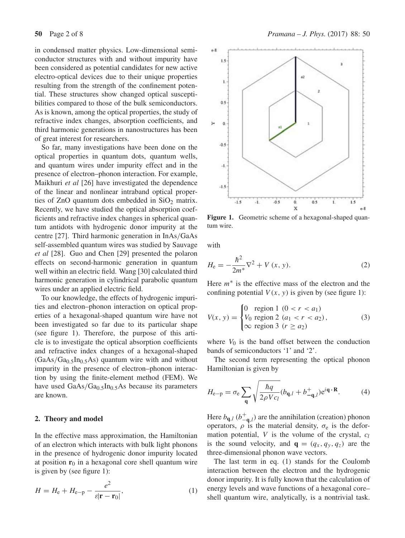in condensed matter physics. Low-dimensional semiconductor structures with and without impurity have been considered as potential candidates for new active electro-optical devices due to their unique properties resulting from the strength of the confinement potential. These structures show changed optical susceptibilities compared to those of the bulk semiconductors. As is known, among the optical properties, the study of refractive index changes, absorption coefficients, and third harmonic generations in nanostructures has been of great interest for researchers.

So far, many investigations have been done on the optical properties in quantum dots, quantum wells, and quantum wires under impurity effect and in the presence of electron–phonon interaction. For example, Maikhuri *et al* [26] have investigated the dependence of the linear and nonlinear intraband optical properties of ZnO quantum dots embedded in  $SiO<sub>2</sub>$  matrix. Recently, we have studied the optical absorption coefficients and refractive index changes in spherical quantum antidots with hydrogenic donor impurity at the centre [27]. Third harmonic generation in InAs/GaAs self-assembled quantum wires was studied by Sauvage *et al* [28]. Guo and Chen [29] presented the polaron effects on second-harmonic generation in quantum well within an electric field. Wang [30] calculated third harmonic generation in cylindrical parabolic quantum wires under an applied electric field.

To our knowledge, the effects of hydrogenic impurities and electron–phonon interaction on optical properties of a hexagonal-shaped quantum wire have not been investigated so far due to its particular shape (see figure 1). Therefore, the purpose of this article is to investigate the optical absorption coefficients and refractive index changes of a hexagonal-shaped  $(GaAs/Ga<sub>0.5</sub>In<sub>0.5</sub>As) quantum wire with and without$ impurity in the presence of electron–phonon interaction by using the finite-element method (FEM). We have used  $GaAs/Ga<sub>0.5</sub>In<sub>0.5</sub>As because its parameters$ are known.

### **2. Theory and model**

In the effective mass approximation, the Hamiltonian of an electron which interacts with bulk light phonons in the presence of hydrogenic donor impurity located at position  $r_0$  in a hexagonal core shell quantum wire is given by (see figure 1):

$$
H = H_{\rm e} + H_{\rm e-p} - \frac{e^2}{\varepsilon |\mathbf{r} - \mathbf{r}_0|},\tag{1}
$$



**Figure 1.** Geometric scheme of a hexagonal-shaped quantum wire.

with

$$
H_{\rm e} = -\frac{\hbar^2}{2m^*} \nabla^2 + V(x, y). \tag{2}
$$

Here  $m<sup>*</sup>$  is the effective mass of the electron and the confining potential  $V(x, y)$  is given by (see figure 1):

$$
V(x, y) = \begin{cases} 0 & \text{region } 1 \ (0 < r < a_1) \\ V_0 & \text{region } 2 \ (a_1 < r < a_2) \\ \infty & \text{region } 3 \ (r \ge a_2) \end{cases} \tag{3}
$$

where  $V_0$  is the band offset between the conduction bands of semiconductors '1' and '2'.

The second term representing the optical phonon Hamiltonian is given by

$$
H_{\rm e-p} = \sigma_{\rm e} \sum_{\mathbf{q}} \sqrt{\frac{\hbar q}{2\rho V c_l}} (b_{\mathbf{q},l} + b_{-\mathbf{q},l}^+) e^{i\mathbf{q} \cdot \mathbf{R}}.
$$
 (4)

Here  $b_{\mathbf{q},l}$  ( $b_{-\mathbf{q},l}^+$ ) are the annihilation (creation) phonon operators,  $\rho$  is the material density,  $\sigma_e$  is the deformation potential,  $V$  is the volume of the crystal,  $c_l$ is the sound velocity, and  $\mathbf{q} = (q_x, q_y, q_z)$  are the three-dimensional phonon wave vectors.

The last term in eq. (1) stands for the Coulomb interaction between the electron and the hydrogenic donor impurity. It is fully known that the calculation of energy levels and wave functions of a hexagonal core– shell quantum wire, analytically, is a nontrivial task.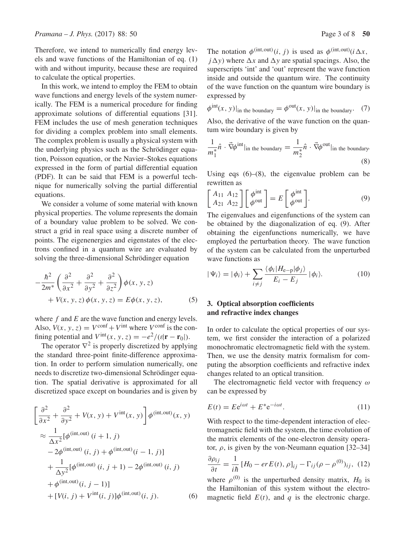Therefore, we intend to numerically find energy levels and wave functions of the Hamiltonian of eq. (1) with and without impurity, because these are required to calculate the optical properties.

In this work, we intend to employ the FEM to obtain wave functions and energy levels of the system numerically. The FEM is a numerical procedure for finding approximate solutions of differential equations [31]. FEM includes the use of mesh generation techniques for dividing a complex problem into small elements. The complex problem is usually a physical system with the underlying physics such as the Schrödinger equation, Poisson equation, or the Navier–Stokes equations expressed in the form of partial differential equation (PDF). It can be said that FEM is a powerful technique for numerically solving the partial differential equations.

We consider a volume of some material with known physical properties. The volume represents the domain of a boundary value problem to be solved. We construct a grid in real space using a discrete number of points. The eigenenergies and eigenstates of the electrons confined in a quantum wire are evaluated by solving the three-dimensional Schrödinger equation

$$
-\frac{\hbar^2}{2m^*} \left( \frac{\partial^2}{\partial x^2} + \frac{\partial^2}{\partial y^2} + \frac{\partial^2}{\partial z^2} \right) \phi(x, y, z) + V(x, y, z) \phi(x, y, z) = E \phi(x, y, z),
$$
 (5)

where  $f$  and  $E$  are the wave function and energy levels. Also,  $V(x, y, z) = V^{\text{conf}} + V^{\text{int}}$  where  $V^{\text{conf}}$  is the confining potential and  $V^{\text{int}}(x, y, z) = -e^2/(8|\mathbf{r} - \mathbf{r}_0|)$ .

The operator  $\nabla^2$  is properly discretized by applying the standard three-point finite-difference approximation. In order to perform simulation numerically, one needs to discretize two-dimensional Schrödinger equation. The spatial derivative is approximated for all discretized space except on boundaries and is given by

$$
\left[\frac{\partial^2}{\partial x^2} + \frac{\partial^2}{\partial y^2} + V(x, y) + V^{\text{int}}(x, y)\right] \phi^{\text{(int,out)}}(x, y)
$$
  
\n
$$
\approx \frac{1}{\Delta x^2} [\phi^{\text{(int,out)}}(i+1, j)]
$$
  
\n
$$
-2\phi^{\text{(int,out)}}(i, j) + \phi^{\text{(int,out)}}(i-1, j)]
$$
  
\n
$$
+\frac{1}{\Delta y^2} [\phi^{\text{(int,out)}}(i, j+1) - 2\phi^{\text{(int,out)}}(i, j)
$$
  
\n
$$
+ \phi^{\text{(int,out)}}(i, j-1)]
$$
  
\n
$$
+ [V(i, j) + V^{\text{int}}(i, j)]\phi^{\text{(int,out)}}(i, j).
$$
 (6)

The notation  $\phi^{(\text{int,out})}(i, j)$  is used as  $\phi^{(\text{int,out})}(i \Delta x,$  $j\Delta y$ ) where  $\Delta x$  and  $\Delta y$  are spatial spacings. Also, the superscripts 'int' and 'out' represent the wave function inside and outside the quantum wire. The continuity of the wave function on the quantum wire boundary is expressed by

$$
\phi^{\text{int}}(x, y)|_{\text{in the boundary}} = \phi^{\text{out}}(x, y)|_{\text{in the boundary}}. \tag{7}
$$

Also, the derivative of the wave function on the quantum wire boundary is given by

$$
\frac{1}{m_1^*} \hat{n} \cdot \vec{\nabla} \phi^{\text{int}} |_{\text{in the boundary}} = \frac{1}{m_2^*} \hat{n} \cdot \vec{\nabla} \phi^{\text{out}} |_{\text{in the boundary}} \tag{8}
$$

Using eqs (6)–(8), the eigenvalue problem can be rewritten as

$$
\begin{bmatrix} A_{11} & A_{12} \\ A_{21} & A_{22} \end{bmatrix} \begin{bmatrix} \phi^{\text{int}} \\ \phi^{\text{out}} \end{bmatrix} = E \begin{bmatrix} \phi^{\text{int}} \\ \phi^{\text{out}} \end{bmatrix}.
$$
 (9)

The eigenvalues and eigenfunctions of the system can be obtained by the diagonalization of eq. (9). After obtaining the eigenfunctions numerically, we have employed the perturbation theory. The wave function of the system can be calculated from the unperturbed wave functions as

$$
|\Psi_i\rangle = |\phi_i\rangle + \sum_{i \neq j} \frac{\langle \phi_i | H_{e-p} | \phi_j \rangle}{E_i - E_j} |\phi_i\rangle.
$$
 (10)

## **3. Optical absorption coefficients and refractive index changes**

In order to calculate the optical properties of our system, we first consider the interaction of a polarized monochromatic electromagnetic field with the system. Then, we use the density matrix formalism for computing the absorption coefficients and refractive index changes related to an optical transition.

The electromagnetic field vector with frequency  $\omega$ can be expressed by

$$
E(t) = E e^{i\omega t} + E^* e^{-i\omega t}.
$$
 (11)

With respect to the time-dependent interaction of electromagnetic field with the system, the time evolution of the matrix elements of the one-electron density operator,  $\rho$ , is given by the von-Neumann equation [32–34]

$$
\frac{\partial \rho_{ij}}{\partial t} = \frac{1}{i\hbar} \left[ H_0 - erE(t), \rho \right]_{ij} - \Gamma_{ij} (\rho - \rho^{(0)})_{ij}, \tag{12}
$$

where  $\rho^{(0)}$  is the unperturbed density matrix,  $H_0$  is the Hamiltonian of this system without the electromagnetic field  $E(t)$ , and q is the electronic charge.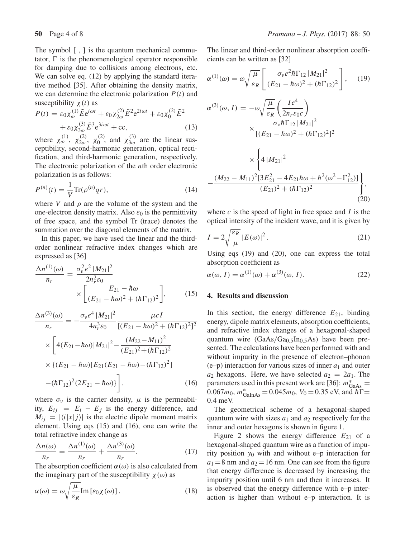The symbol [, ] is the quantum mechanical commutator,  $\Gamma$  is the phenomenological operator responsible for damping due to collisions among electrons, etc. We can solve eq. (12) by applying the standard iterative method [35]. After obtaining the density matrix, we can determine the electronic polarization  $P(t)$  and susceptibility  $\chi(t)$  as

$$
P(t) = \varepsilon_0 \chi_{\omega}^{(1)} \tilde{E} e^{i\omega t} + \varepsilon_0 \chi_{2\omega}^{(2)} \tilde{E}^2 e^{2i\omega t} + \varepsilon_0 \chi_0^{(2)} \tilde{E}^2 + \varepsilon_0 \chi_{3\omega}^{(3)} \tilde{E}^3 e^{3i\omega t} + \text{cc},
$$
\n(13)

where  $\chi_{\omega}^{(1)}$ ,  $\chi_{2\omega}^{(2)}$ ,  $\chi_{0}^{(2)}$ , and  $\chi_{3\omega}^{(3)}$  are the linear susceptibility, second-harmonic generation, optical rectification, and third-harmonic generation, respectively. The electronic polarization of the nth order electronic polarization is as follows:

$$
P^{(n)}(t) = \frac{1}{V} \text{Tr}(\rho^{(n)} q r),\tag{14}
$$

where V and  $\rho$  are the volume of the system and the one-electron density matrix. Also  $\varepsilon_0$  is the permittivity of free space, and the symbol Tr (trace) denotes the summation over the diagonal elements of the matrix.

In this paper, we have used the linear and the thirdorder nonlinear refractive index changes which are expressed as [36]

$$
\frac{\Delta n^{(1)}(\omega)}{n_r} = \frac{\sigma_v^2 e^2 |M_{21}|^2}{2n_r^2 \varepsilon_0} \times \left[ \frac{E_{21} - \hbar \omega}{(E_{21} - \hbar \omega)^2 + (\hbar \Gamma_{12})^2} \right],
$$
(15)

$$
\frac{\Delta n^{(3)}(\omega)}{n_r} = -\frac{\sigma_v e^4 |M_{21}|^2}{4n_r^3 \varepsilon_0} \frac{\mu cI}{[(E_{21} - \hbar \omega)^2 + (\hbar \Gamma_{12})^2]^2}
$$

$$
\times \left[ 4(E_{21} - \hbar \omega)|M_{21}|^2 - \frac{(M_{22} - M_{11})^2}{(E_{21})^2 + (\hbar \Gamma_{12})^2} \right]
$$

$$
\times \left\{ (E_{21} - \hbar \omega)[E_{21}(E_{21} - \hbar \omega) - (\hbar \Gamma_{12})^2] - (\hbar \Gamma_{12})^2 (2E_{21} - \hbar \omega) \right\}, \tag{16}
$$

where  $\sigma_{\nu}$  is the carrier density,  $\mu$  is the permeability,  $E_{ij} = E_i - E_j$  is the energy difference, and  $M_{ij} = |\langle i|x|j \rangle|$  is the electric dipole moment matrix element. Using eqs (15) and (16), one can write the total refractive index change as

$$
\frac{\Delta n(\omega)}{n_r} = \frac{\Delta n^{(1)}(\omega)}{n_r} + \frac{\Delta n^{(3)}(\omega)}{n_r}.
$$
\n(17)

The absorption coefficient  $\alpha(\omega)$  is also calculated from the imaginary part of the susceptibility  $\chi(\omega)$  as

$$
\alpha(\omega) = \omega \sqrt{\frac{\mu}{\varepsilon_R}} \text{Im} \left[ \varepsilon_0 \chi(\omega) \right]. \tag{18}
$$

The linear and third-order nonlinear absorption coefficients can be written as [32]

$$
\alpha^{(1)}(\omega) = \omega \sqrt{\frac{\mu}{\varepsilon_R}} \left[ \frac{\sigma_\nu e^2 \hbar \Gamma_{12} |M_{21}|^2}{(E_{21} - \hbar \omega)^2 + (\hbar \Gamma_{12})^2} \right], \quad (19)
$$
  

$$
\alpha^{(3)}(\omega, I) = -\omega \sqrt{\frac{\mu}{\varepsilon_R}} \left( \frac{I e^4}{2n_r \varepsilon_0 c} \right)
$$

$$
\times \frac{\sigma_\nu \hbar \Gamma_{12} |M_{21}|^2}{[(E_{21} - \hbar \omega)^2 + (\hbar \Gamma_{12})^2]^2}
$$

$$
\times \left\{ 4 |M_{21}|^2 \right.
$$

$$
-\frac{(M_{22} - M_{11})^2 [3E_{21}^2 - 4E_{21}\hbar\omega + \hbar^2(\omega^2 - \Gamma_{12}^2)]}{(E_{21})^2 + (\hbar \Gamma_{12})^2} \right\}, \quad (20)
$$

where  $c$  is the speed of light in free space and  $I$  is the optical intensity of the incident wave, and it is given by

$$
I = 2\sqrt{\frac{\varepsilon_R}{\mu}} |E(\omega)|^2.
$$
 (21)

Using eqs (19) and (20), one can express the total absorption coefficient as

$$
\alpha(\omega, I) = \alpha^{(1)}(\omega) + \alpha^{(3)}(\omega, I). \tag{22}
$$

## **4. Results and discussion**

In this section, the energy difference  $E_{21}$ , binding energy, dipole matrix elements, absorption coefficients, and refractive index changes of a hexagonal-shaped quantum wire  $(GaAs/Ga<sub>0.5</sub>In<sub>0.5</sub>As)$  have been presented. The calculations have been performed with and without impurity in the presence of electron–phonon  $(e-p)$  interaction for various sizes of inner  $a_1$  and outer  $a_2$  hexagons. Here, we have selected  $a_2 = 2a_1$ . The parameters used in this present work are [36]:  $m^*_{\text{GaAs}} =$  $0.067m_0$ ,  $m^*_{GalnAs} = 0.045m_0$ ,  $V_0 = 0.35$  eV, and  $\hbar \Gamma =$ 0.4 meV.

The geometrical scheme of a hexagonal-shaped quantum wire with sizes  $a_1$  and  $a_2$  respectively for the inner and outer hexagons is shown in figure 1.

Figure 2 shows the energy difference  $E_{21}$  of a hexagonal-shaped quantum wire as a function of impurity position  $y_0$  with and without e–p interaction for  $a_1 = 8$  nm and  $a_2 = 16$  nm. One can see from the figure that energy difference is decreased by increasing the impurity position until 6 nm and then it increases. It is observed that the energy difference with e–p interaction is higher than without e–p interaction. It is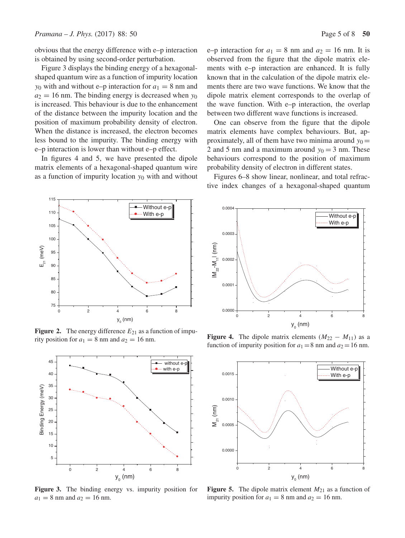obvious that the energy difference with e–p interaction is obtained by using second-order perturbation.

Figure 3 displays the binding energy of a hexagonalshaped quantum wire as a function of impurity location  $y_0$  with and without e–p interaction for  $a_1 = 8$  nm and  $a_2 = 16$  nm. The binding energy is decreased when  $y_0$ is increased. This behaviour is due to the enhancement of the distance between the impurity location and the position of maximum probability density of electron. When the distance is increased, the electron becomes less bound to the impurity. The binding energy with e–p interaction is lower than without e–p effect.

In figures 4 and 5, we have presented the dipole matrix elements of a hexagonal-shaped quantum wire as a function of impurity location  $y_0$  with and without

e–p interaction for  $a_1 = 8$  nm and  $a_2 = 16$  nm. It is observed from the figure that the dipole matrix elements with e–p interaction are enhanced. It is fully known that in the calculation of the dipole matrix elements there are two wave functions. We know that the dipole matrix element corresponds to the overlap of the wave function. With e–p interaction, the overlap between two different wave functions is increased.

One can observe from the figure that the dipole matrix elements have complex behaviours. But, approximately, all of them have two minima around  $y_0 =$ 2 and 5 nm and a maximum around  $y_0 = 3$  nm. These behaviours correspond to the position of maximum probability density of electron in different states.

Figures 6–8 show linear, nonlinear, and total refractive index changes of a hexagonal-shaped quantum



**Figure 2.** The energy difference  $E_{21}$  as a function of impurity position for  $a_1 = 8$  nm and  $a_2 = 16$  nm.



**Figure 3.** The binding energy vs. impurity position for  $a_1 = 8$  nm and  $a_2 = 16$  nm.



**Figure 4.** The dipole matrix elements  $(M_{22} - M_{11})$  as a function of impurity position for  $a_1 = 8$  nm and  $a_2 = 16$  nm.



**Figure 5.** The dipole matrix element  $M_{21}$  as a function of impurity position for  $a_1 = 8$  nm and  $a_2 = 16$  nm.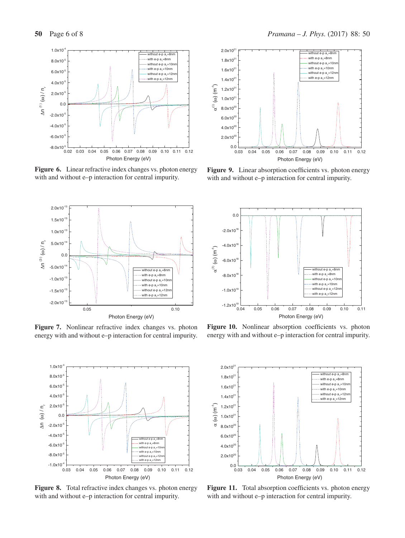

**Figure 6.** Linear refractive index changes vs. photon energy with and without e–p interaction for central impurity.



**Figure 7.** Nonlinear refractive index changes vs. photon energy with and without e–p interaction for central impurity.



**Figure 8.** Total refractive index changes vs. photon energy with and without e–p interaction for central impurity.



**Figure 9.** Linear absorption coefficients vs. photon energy with and without e–p interaction for central impurity.



Figure 10. Nonlinear absorption coefficients vs. photon energy with and without e–p interaction for central impurity.



Figure 11. Total absorption coefficients vs. photon energy with and without e–p interaction for central impurity.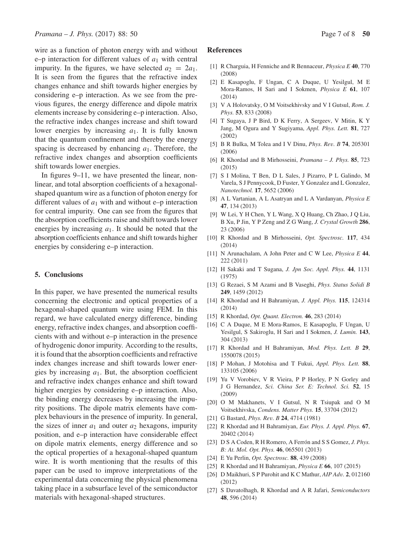wire as a function of photon energy with and without e–p interaction for different values of  $a_1$  with central impurity. In the figures, we have selected  $a_2 = 2a_1$ . It is seen from the figures that the refractive index changes enhance and shift towards higher energies by considering e–p interaction. As we see from the previous figures, the energy difference and dipole matrix elements increase by considering e–p interaction. Also, the refractive index changes increase and shift toward lower energies by increasing  $a_1$ . It is fully known that the quantum confinement and thereby the energy spacing is decreased by enhancing  $a_1$ . Therefore, the refractive index changes and absorption coefficients shift towards lower energies.

In figures 9–11, we have presented the linear, nonlinear, and total absorption coefficients of a hexagonalshaped quantum wire as a function of photon energy for different values of  $a_1$  with and without e–p interaction for central impurity. One can see from the figures that the absorption coefficients raise and shift towards lower energies by increasing  $a_1$ . It should be noted that the absorption coefficients enhance and shift towards higher energies by considering e–p interaction.

## **5. Conclusions**

In this paper, we have presented the numerical results concerning the electronic and optical properties of a hexagonal-shaped quantum wire using FEM. In this regard, we have calculated energy difference, binding energy, refractive index changes, and absorption coefficients with and without e–p interaction in the presence of hydrogenic donor impurity. According to the results, it is found that the absorption coefficients and refractive index changes increase and shift towards lower energies by increasing  $a_1$ . But, the absorption coefficient and refractive index changes enhance and shift toward higher energies by considering e–p interaction. Also, the binding energy decreases by increasing the impurity positions. The dipole matrix elements have complex behaviours in the presence of impurity. In general, the sizes of inner  $a_1$  and outer  $a_2$  hexagons, impurity position, and e–p interaction have considerable effect on dipole matrix elements, energy difference and so the optical properties of a hexagonal-shaped quantum wire. It is worth mentioning that the results of this paper can be used to improve interpretations of the experimental data concerning the physical phenomena taking place in a subsurface level of the semiconductor materials with hexagonal-shaped structures.

#### **References**

- [1] R Charguia, H Fenniche and R Bennaceur, *Physica E* **40**, 770 (2008)
- [2] E Kasapoglu, F Ungan, C A Duque, U Yesilgul, M E Mora-Ramos, H Sari and I Sokmen, *Physica E* **61**, 107 (2014)
- [3] V A Holovatsky, O M Voitsekhivsky and V I Gutsul, *Rom. J. Phys.* **53**, 833 (2008)
- [4] T Sugaya, J P Bird, D K Ferry, A Sergeev, V Mitin, K Y Jang, M Ogura and Y Sugiyama, *Appl. Phys. Lett.* **81**, 727 (2002)
- [5] B R Bulka, M Tolea and I V Dinu, *Phys. Re*v*. B* **74**, 205301 (2006)
- [6] R Khordad and B Mirhosseini, *Pramana J. Phys.* **85**, 723 (2015)
- [7] S I Molina, T Ben, D L Sales, J Pizarro, P L Galindo, M Varela, S J Pennycook, D Fuster, Y Gonzalez and L Gonzalez, *Nanotechnol.* **17**, 5652 (2006)
- [8] A L Vartanian, A L Asatryan and L A Vardanyan, *Physica E* **47**, 134 (2013)
- [9] W Lei, Y H Chen, Y L Wang, X Q Huang, Ch Zhao, J Q Liu, B Xu, P Jin, Y P Zeng and Z G Wang, *J. Crystal Growth* **286**, 23 (2006)
- [10] R Khordad and B Mirhosseini, *Opt. Spectrosc.* **117**, 434 (2014)
- [11] N Arunachalam, A John Peter and C W Lee, *Physica E* **44**, 222 (2011)
- [12] H Sakaki and T Sugana, *J. Jpn Soc. Appl. Phys.* **44**, 1131 (1975)
- [13] G Rezaei, S M Azami and B Vaseghi, *Phys. Status Solidi B* **249**, 1459 (2012)
- [14] R Khordad and H Bahramiyan, *J. Appl. Phys.* **115**, 124314 (2014)
- [15] R Khordad, *Opt. Quant. Electron.* **46**, 283 (2014)
- [16] C A Duque, M E Mora-Ramos, E Kasapoglu, F Ungan, U Yesilgul, S Sakiroglu, H Sari and I Sokmen, *J. Lumin.* **143**, 304 (2013)
- [17] R Khordad and H Bahramiyan, *Mod. Phys. Lett. B* **29**, 1550078 (2015)
- [18] P Mohan, J Motohisa and T Fukui, *Appl. Phys. Lett.* **88**, 133105 (2006)
- [19] Yu V Vorobiev, V R Vieira, P P Horley, P N Gorley and J G Hernandez, *Sci. China Ser. E: Technol. Sci.* **52**, 15 (2009)
- [20] O M Makhanets, V I Gutsul, N R Tsiupak and O M Voitsekhivska, *Condens. Matter Phys.* **15**, 33704 (2012)
- [21] G Bastard, *Phys. Re*v*. B* **24**, 4714 (1981)
- [22] R Khordad and H Bahramiyan, *Eur. Phys. J. Appl. Phys.* **67**, 20402 (2014)
- [23] D S A Coden, R H Romero, A Ferrón and S S Gomez, *J. Phys. B: At. Mol. Opt. Phys.* **46**, 065501 (2013)
- [24] E Yu Perlin, *Opt. Spectrosc.* **88**, 439 (2008)
- [25] R Khordad and H Bahramiyan, *Physica E* **66**, 107 (2015)
- [26] D Maikhuri, S P Purohit and K C Mathur, *AIP Ad*v*.* **2**, 012160 (2012)
- [27] S Davatolhagh, R Khordad and A R Jafari, *Semiconductors* **48**, 596 (2014)